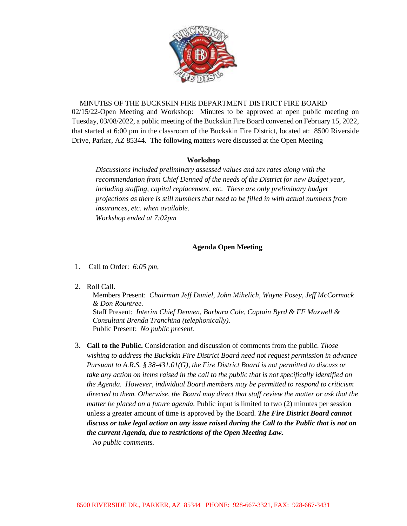

MINUTES OF THE BUCKSKIN FIRE DEPARTMENT DISTRICT FIRE BOARD 02/15/22-Open Meeting and Workshop: Minutes to be approved at open public meeting on Tuesday, 03/08/2022, a public meeting of the Buckskin Fire Board convened on February 15, 2022, that started at 6:00 pm in the classroom of the Buckskin Fire District, located at: 8500 Riverside Drive, Parker, AZ 85344. The following matters were discussed at the Open Meeting

## **Workshop**

*Discussions included preliminary assessed values and tax rates along with the recommendation from Chief Denned of the needs of the District for new Budget year, including staffing, capital replacement, etc. These are only preliminary budget projections as there is still numbers that need to be filled in with actual numbers from insurances, etc. when available. Workshop ended at 7:02pm* 

## **Agenda Open Meeting**

- 1. Call to Order: *6:05 pm,*
- 2. Roll Call.

Members Present: *Chairman Jeff Daniel, John Mihelich, Wayne Posey, Jeff McCormack & Don Rountree.*  Staff Present: *Interim Chief Dennen, Barbara Cole, Captain Byrd & FF Maxwell & Consultant Brenda Tranchina (telephonically).* Public Present: *No public present.*

3. **Call to the Public.** Consideration and discussion of comments from the public. *Those wishing to address the Buckskin Fire District Board need not request permission in advance Pursuant to A.R.S. § 38-431.01(G), the Fire District Board is not permitted to discuss or take any action on items raised in the call to the public that is not specifically identified on the Agenda. However, individual Board members may be permitted to respond to criticism directed to them. Otherwise, the Board may direct that staff review the matter or ask that the matter be placed on a future agenda.* Public input is limited to two (2) minutes per session unless a greater amount of time is approved by the Board. *The Fire District Board cannot discuss or take legal action on any issue raised during the Call to the Public that is not on the current Agenda, due to restrictions of the Open Meeting Law.*

*No public comments.*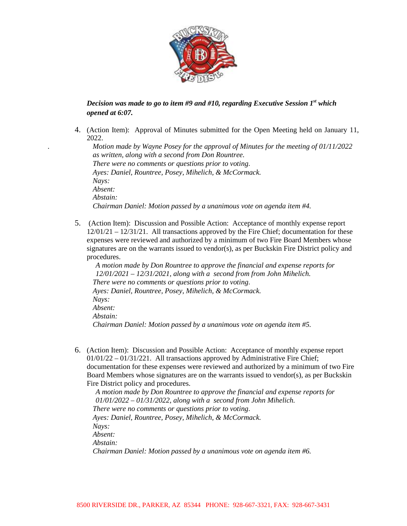

## *Decision was made to go to item #9 and #10, regarding Executive Session 1st which opened at 6:07.*

4. (Action Item): Approval of Minutes submitted for the Open Meeting held on January 11, 2022.

*. Motion made by Wayne Posey for the approval of Minutes for the meeting of 01/11/2022 as written, along with a second from Don Rountree. There were no comments or questions prior to voting*. *Ayes: Daniel, Rountree, Posey, Mihelich, & McCormack. Nays: Absent: Abstain: Chairman Daniel: Motion passed by a unanimous vote on agenda item #4.*

5. (Action Item): Discussion and Possible Action: Acceptance of monthly expense report  $12/01/21 - 12/31/21$ . All transactions approved by the Fire Chief; documentation for these expenses were reviewed and authorized by a minimum of two Fire Board Members whose signatures are on the warrants issued to vendor(s), as per Buckskin Fire District policy and procedures.

*A motion made by Don Rountree to approve the financial and expense reports for 12/01/2021 – 12/31/2021, along with a second from from John Mihelich. There were no comments or questions prior to voting*. *Ayes: Daniel, Rountree, Posey, Mihelich, & McCormack. Nays: Absent: Abstain: Chairman Daniel: Motion passed by a unanimous vote on agenda item #5.*

6. (Action Item): Discussion and Possible Action: Acceptance of monthly expense report 01/01/22 – 01/31/221. All transactions approved by Administrative Fire Chief; documentation for these expenses were reviewed and authorized by a minimum of two Fire Board Members whose signatures are on the warrants issued to vendor(s), as per Buckskin Fire District policy and procedures.

*A motion made by Don Rountree to approve the financial and expense reports for 01/01/2022 – 01/31/2022, along with a second from John Mihelich. There were no comments or questions prior to voting*. *Ayes: Daniel, Rountree, Posey, Mihelich, & McCormack. Nays: Absent: Abstain: Chairman Daniel: Motion passed by a unanimous vote on agenda item #6.*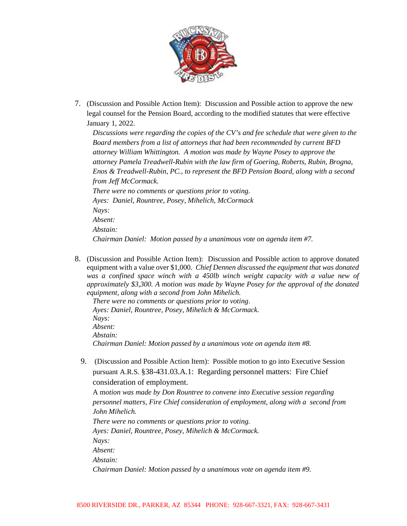

7. (Discussion and Possible Action Item): Discussion and Possible action to approve the new legal counsel for the Pension Board, according to the modified statutes that were effective January 1, 2022.

*Discussions were regarding the copies of the CV's and fee schedule that were given to the Board members from a list of attorneys that had been recommended by current BFD attorney William Whittington. A motion was made by Wayne Posey to approve the attorney Pamela Treadwell-Rubin with the law firm of Goering, Roberts, Rubin, Brogna, Enos & Treadwell-Rubin, PC., to represent the BFD Pension Board, along with a second from Jeff McCormack. There were no comments or questions prior to voting. Ayes: Daniel, Rountree, Posey, Mihelich, McCormack Nays: Absent: Abstain:*

*Chairman Daniel: Motion passed by a unanimous vote on agenda item #7.*

8. (Discussion and Possible Action Item): Discussion and Possible action to approve donated equipment with a value over \$1,000. *Chief Dennen discussed the equipment that was donated*  was a confined space winch with a 450lb winch weight capacity with a value new of *approximately \$3,300. A motion was made by Wayne Posey for the approval of the donated equipment, along with a second from John Mihelich.*

*There were no comments or questions prior to voting*. *Ayes: Daniel, Rountree, Posey, Mihelich & McCormack. Nays: Absent: Abstain: Chairman Daniel: Motion passed by a unanimous vote on agenda item #8.*

9. (Discussion and Possible Action Item): Possible motion to go into Executive Session pursuant A.R.S. §38-431.03.A.1: Regarding personnel matters: Fire Chief consideration of employment.

A m*otion was made by Don Rountree to convene into Executive session regarding personnel matters, Fire Chief consideration of employment, along with a second from John Mihelich. There were no comments or questions prior to voting.*

*Ayes: Daniel, Rountree, Posey, Mihelich & McCormack. Nays: Absent: Abstain: Chairman Daniel: Motion passed by a unanimous vote on agenda item #9.*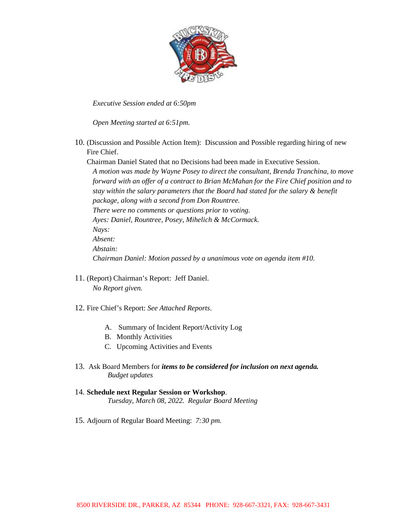

*Executive Session ended at 6:50pm* 

*Open Meeting started at 6:51pm.*

10. (Discussion and Possible Action Item): Discussion and Possible regarding hiring of new Fire Chief.

Chairman Daniel Stated that no Decisions had been made in Executive Session. *A motion was made by Wayne Posey to direct the consultant, Brenda Tranchina, to move* 

*forward with an offer of a contract to Brian McMahan for the Fire Chief position and to stay within the salary parameters that the Board had stated for the salary & benefit package, along with a second from Don Rountree. There were no comments or questions prior to voting. Ayes: Daniel, Rountree, Posey, Mihelich & McCormack. Nays: Absent: Abstain: Chairman Daniel: Motion passed by a unanimous vote on agenda item #10.* 

- 11. (Report) Chairman's Report: Jeff Daniel. *No Report given.*
- 12. Fire Chief's Report: *See Attached Reports*.
	- A. Summary of Incident Report/Activity Log
	- B. Monthly Activities
	- C. Upcoming Activities and Events
- 13. Ask Board Members for *items to be considered for inclusion on next agenda. Budget updates*
- 14. **Schedule next Regular Session or Workshop**. *Tuesday, March 08, 2022. Regular Board Meeting*
- 15. Adjourn of Regular Board Meeting: *7:30 pm.*